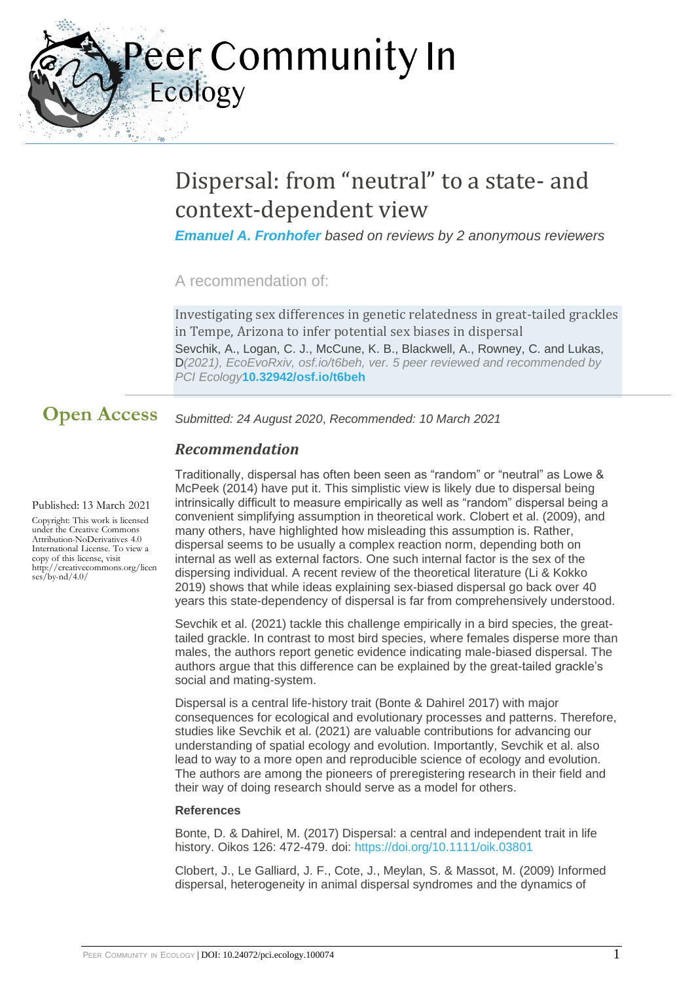eer Community In Ecology

# Dispersal: from "neutral" to a state- and context-dependent view

*[Emanuel A. Fronhofer](https://ecology.peercommunityin.org/public/user_public_page?userId=36) based on reviews by 2 anonymous reviewers*

A recommendation of:

Investigating sex differences in genetic relatedness in great-tailed grackles in Tempe, Arizona to infer potential sex biases in dispersal Sevchik, A., Logan, C. J., McCune, K. B., Blackwell, A., Rowney, C. and Lukas, D*(2021), EcoEvoRxiv, osf.io/t6beh, ver. 5 peer reviewed and recommended by PCI Ecology***[10.32942/osf.io/t6beh](https://doi.org/10.32942/osf.io/t6beh)**

*Submitted: 24 August 2020*, *Recommended: 10 March 2021* **Open Access**

## *Recommendation*

#### Published: 13 March 2021

Copyright: This work is licensed under the Creative Commons Attribution-NoDerivatives 4.0 International License. To view a copy of this license, visit http://creativecommons.org/licen ses/by-nd/4.0/

Traditionally, dispersal has often been seen as "random" or "neutral" as Lowe & McPeek (2014) have put it. This simplistic view is likely due to dispersal being intrinsically difficult to measure empirically as well as "random" dispersal being a convenient simplifying assumption in theoretical work. Clobert et al. (2009), and many others, have highlighted how misleading this assumption is. Rather, dispersal seems to be usually a complex reaction norm, depending both on internal as well as external factors. One such internal factor is the sex of the dispersing individual. A recent review of the theoretical literature (Li & Kokko 2019) shows that while ideas explaining sex-biased dispersal go back over 40 years this state-dependency of dispersal is far from comprehensively understood.

Sevchik et al. (2021) tackle this challenge empirically in a bird species, the greattailed grackle. In contrast to most bird species, where females disperse more than males, the authors report genetic evidence indicating male-biased dispersal. The authors argue that this difference can be explained by the great-tailed grackle's social and mating-system.

Dispersal is a central life-history trait (Bonte & Dahirel 2017) with major consequences for ecological and evolutionary processes and patterns. Therefore, studies like Sevchik et al. (2021) are valuable contributions for advancing our understanding of spatial ecology and evolution. Importantly, Sevchik et al. also lead to way to a more open and reproducible science of ecology and evolution. The authors are among the pioneers of preregistering research in their field and their way of doing research should serve as a model for others.

#### **References**

Bonte, D. & Dahirel, M. (2017) Dispersal: a central and independent trait in life history. Oikos 126: 472-479. doi: <https://doi.org/10.1111/oik.03801>

Clobert, J., Le Galliard, J. F., Cote, J., Meylan, S. & Massot, M. (2009) Informed dispersal, heterogeneity in animal dispersal syndromes and the dynamics of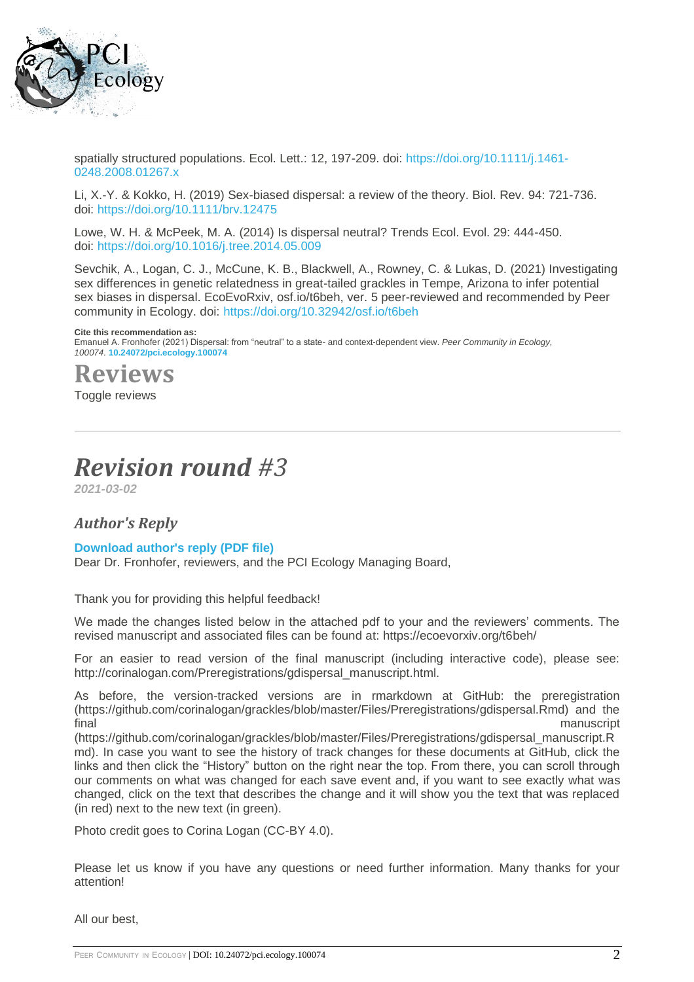

spatially structured populations. Ecol. Lett.: 12, 197-209. doi: [https://doi.org/10.1111/j.1461-](https://doi.org/10.1111/j.1461-0248.2008.01267.x) [0248.2008.01267.x](https://doi.org/10.1111/j.1461-0248.2008.01267.x)

Li, X.-Y. & Kokko, H. (2019) Sex-biased dispersal: a review of the theory. Biol. Rev. 94: 721-736. doi: <https://doi.org/10.1111/brv.12475>

Lowe, W. H. & McPeek, M. A. (2014) Is dispersal neutral? Trends Ecol. Evol. 29: 444-450. doi: <https://doi.org/10.1016/j.tree.2014.05.009>

Sevchik, A., Logan, C. J., McCune, K. B., Blackwell, A., Rowney, C. & Lukas, D. (2021) Investigating sex differences in genetic relatedness in great-tailed grackles in Tempe, Arizona to infer potential sex biases in dispersal. EcoEvoRxiv, osf.io/t6beh, ver. 5 peer-reviewed and recommended by Peer community in Ecology. doi: <https://doi.org/10.32942/osf.io/t6beh>

#### **Cite this recommendation as:**

Emanuel A. Fronhofer (2021) Dispersal: from "neutral" to a state- and context-dependent view. *Peer Community in Ecology, 100074.* **[10.24072/pci.ecology.100074](https://doi.org/10.24072/pci.ecology.100074)**

**Reviews**

Toggle reviews

# *Revision round #3*

*2021-03-02*

### *Author's Reply*

#### **[Download author's reply \(PDF file\)](https://ecology.peercommunityin.org/download/t_recommendations.reply_pdf.9ef07a6242c2a174.526562757474616c335f5365766368696b5f477261636b6c6544697370657273616c2e706466.pdf)**

Dear Dr. Fronhofer, reviewers, and the PCI Ecology Managing Board,

Thank you for providing this helpful feedback!

We made the changes listed below in the attached pdf to your and the reviewers' comments. The revised manuscript and associated files can be found at: https://ecoevorxiv.org/t6beh/

For an easier to read version of the final manuscript (including interactive code), please see: http://corinalogan.com/Preregistrations/gdispersal\_manuscript.html.

As before, the version-tracked versions are in rmarkdown at GitHub: the preregistration (https://github.com/corinalogan/grackles/blob/master/Files/Preregistrations/gdispersal.Rmd) and the final manuscript

(https://github.com/corinalogan/grackles/blob/master/Files/Preregistrations/gdispersal\_manuscript.R md). In case you want to see the history of track changes for these documents at GitHub, click the links and then click the "History" button on the right near the top. From there, you can scroll through our comments on what was changed for each save event and, if you want to see exactly what was changed, click on the text that describes the change and it will show you the text that was replaced (in red) next to the new text (in green).

Photo credit goes to Corina Logan (CC-BY 4.0).

Please let us know if you have any questions or need further information. Many thanks for your attention!

All our best,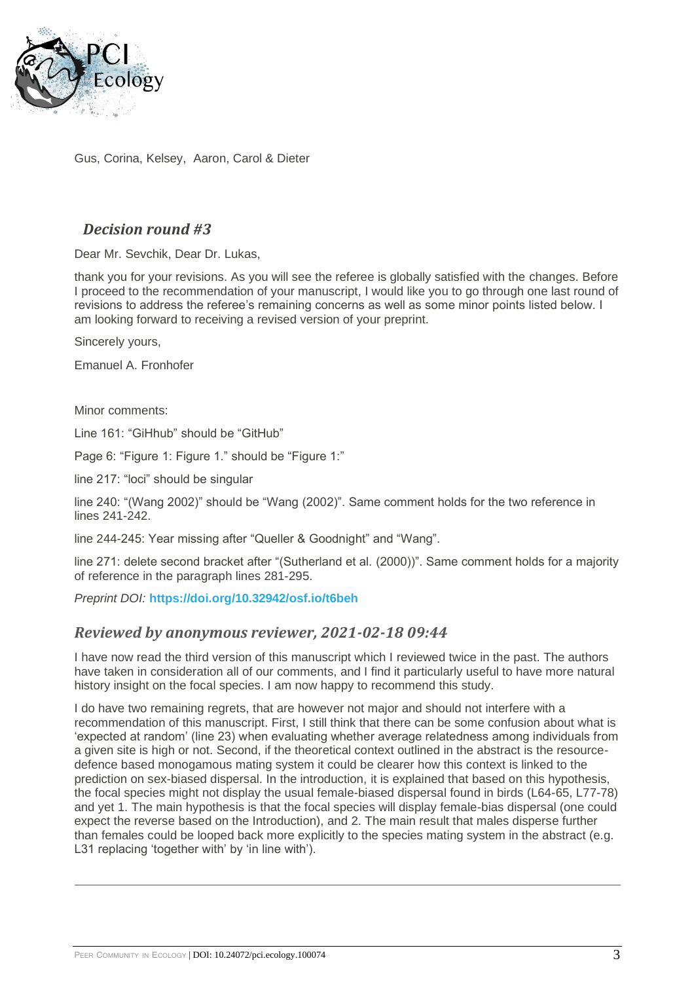

Gus, Corina, Kelsey, Aaron, Carol & Dieter

## *Decision round #3*

Dear Mr. Sevchik, Dear Dr. Lukas,

thank you for your revisions. As you will see the referee is globally satisfied with the changes. Before I proceed to the recommendation of your manuscript, I would like you to go through one last round of revisions to address the referee's remaining concerns as well as some minor points listed below. I am looking forward to receiving a revised version of your preprint.

Sincerely yours,

Emanuel A. Fronhofer

Minor comments:

Line 161: "GiHhub" should be "GitHub"

Page 6: "Figure 1: Figure 1." should be "Figure 1:"

line 217: "loci" should be singular

line 240: "(Wang 2002)" should be "Wang (2002)". Same comment holds for the two reference in lines 241-242.

line 244-245: Year missing after "Queller & Goodnight" and "Wang".

line 271: delete second bracket after "(Sutherland et al. (2000))". Same comment holds for a majority of reference in the paragraph lines 281-295.

*Preprint DOI:* **<https://doi.org/10.32942/osf.io/t6beh>**

### *Reviewed by anonymous reviewer, 2021-02-18 09:44*

I have now read the third version of this manuscript which I reviewed twice in the past. The authors have taken in consideration all of our comments, and I find it particularly useful to have more natural history insight on the focal species. I am now happy to recommend this study.

I do have two remaining regrets, that are however not major and should not interfere with a recommendation of this manuscript. First, I still think that there can be some confusion about what is 'expected at random' (line 23) when evaluating whether average relatedness among individuals from a given site is high or not. Second, if the theoretical context outlined in the abstract is the resourcedefence based monogamous mating system it could be clearer how this context is linked to the prediction on sex-biased dispersal. In the introduction, it is explained that based on this hypothesis, the focal species might not display the usual female-biased dispersal found in birds (L64-65, L77-78) and yet 1. The main hypothesis is that the focal species will display female-bias dispersal (one could expect the reverse based on the Introduction), and 2. The main result that males disperse further than females could be looped back more explicitly to the species mating system in the abstract (e.g. L31 replacing 'together with' by 'in line with').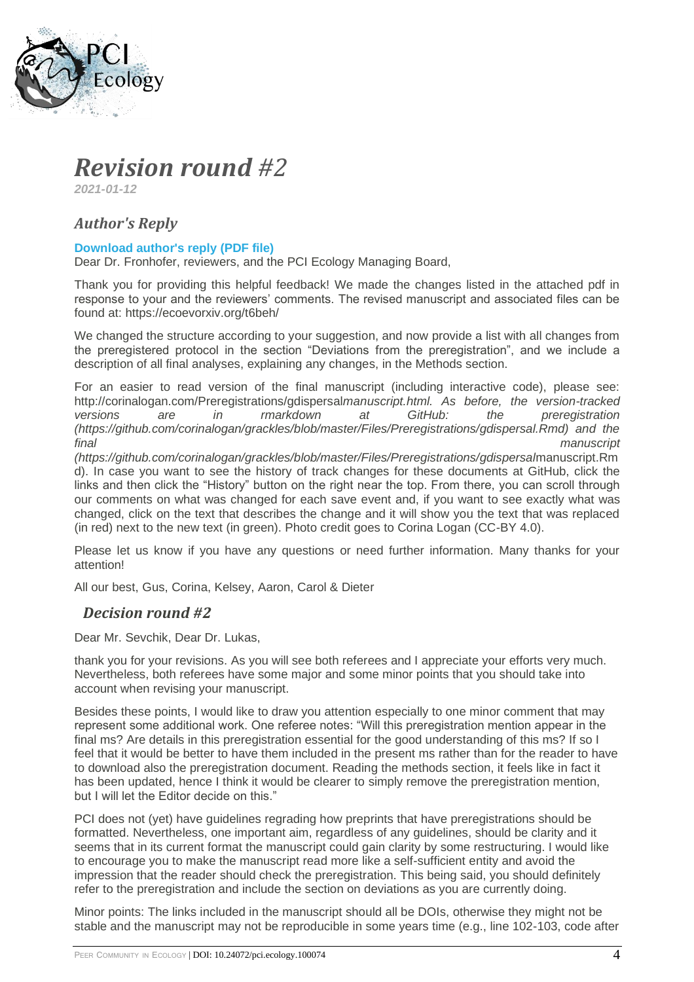

## *Revision round #2*

*2021-01-12*

## *Author's Reply*

#### **[Download author's reply \(PDF file\)](https://ecology.peercommunityin.org/download/t_recommendations.reply_pdf.afbb27973566f1c1.526562757474616c325f5365766368696b5f477261636b6c6544697370657273616c2e706466.pdf)**

Dear Dr. Fronhofer, reviewers, and the PCI Ecology Managing Board,

Thank you for providing this helpful feedback! We made the changes listed in the attached pdf in response to your and the reviewers' comments. The revised manuscript and associated files can be found at: https://ecoevorxiv.org/t6beh/

We changed the structure according to your suggestion, and now provide a list with all changes from the preregistered protocol in the section "Deviations from the preregistration", and we include a description of all final analyses, explaining any changes, in the Methods section.

For an easier to read version of the final manuscript (including interactive code), please see: http://corinalogan.com/Preregistrations/gdispersal*manuscript.html. As before, the version-tracked versions are in rmarkdown at GitHub: the preregistration (https://github.com/corinalogan/grackles/blob/master/Files/Preregistrations/gdispersal.Rmd) and the final manuscript* 

*(https://github.com/corinalogan/grackles/blob/master/Files/Preregistrations/gdispersal*manuscript.Rm d). In case you want to see the history of track changes for these documents at GitHub, click the links and then click the "History" button on the right near the top. From there, you can scroll through our comments on what was changed for each save event and, if you want to see exactly what was changed, click on the text that describes the change and it will show you the text that was replaced (in red) next to the new text (in green). Photo credit goes to Corina Logan (CC-BY 4.0).

Please let us know if you have any questions or need further information. Many thanks for your attention!

All our best, Gus, Corina, Kelsey, Aaron, Carol & Dieter

### *Decision round #2*

Dear Mr. Sevchik, Dear Dr. Lukas,

thank you for your revisions. As you will see both referees and I appreciate your efforts very much. Nevertheless, both referees have some major and some minor points that you should take into account when revising your manuscript.

Besides these points, I would like to draw you attention especially to one minor comment that may represent some additional work. One referee notes: "Will this preregistration mention appear in the final ms? Are details in this preregistration essential for the good understanding of this ms? If so I feel that it would be better to have them included in the present ms rather than for the reader to have to download also the preregistration document. Reading the methods section, it feels like in fact it has been updated, hence I think it would be clearer to simply remove the preregistration mention, but I will let the Editor decide on this."

PCI does not (yet) have guidelines regrading how preprints that have preregistrations should be formatted. Nevertheless, one important aim, regardless of any guidelines, should be clarity and it seems that in its current format the manuscript could gain clarity by some restructuring. I would like to encourage you to make the manuscript read more like a self-sufficient entity and avoid the impression that the reader should check the preregistration. This being said, you should definitely refer to the preregistration and include the section on deviations as you are currently doing.

Minor points: The links included in the manuscript should all be DOIs, otherwise they might not be stable and the manuscript may not be reproducible in some years time (e.g., line 102-103, code after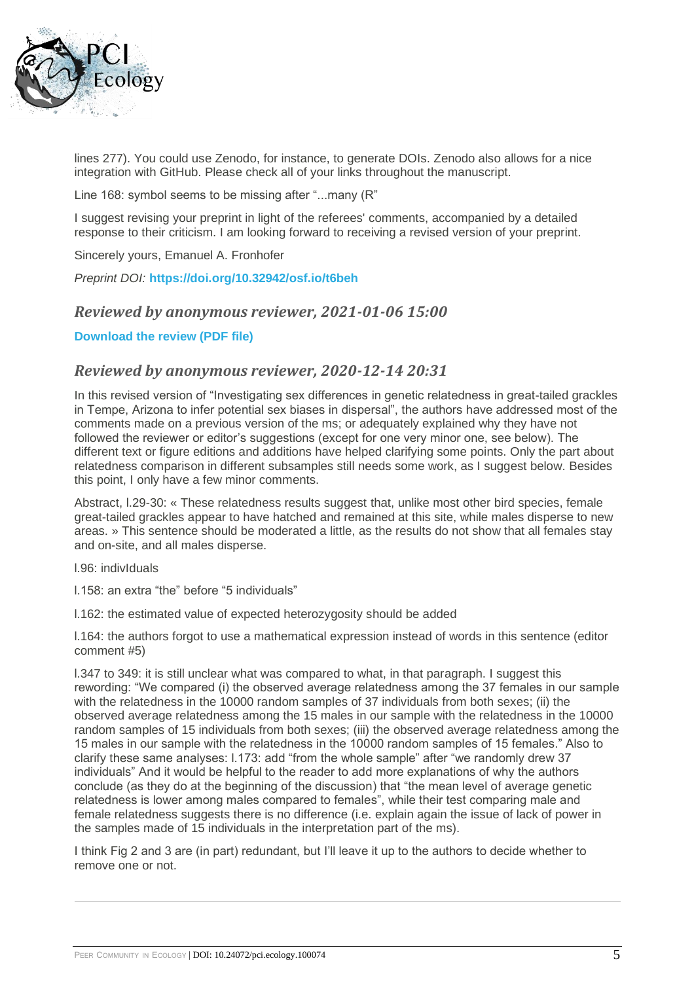

lines 277). You could use Zenodo, for instance, to generate DOIs. Zenodo also allows for a nice integration with GitHub. Please check all of your links throughout the manuscript.

Line 168: symbol seems to be missing after "...many (R"

I suggest revising your preprint in light of the referees' comments, accompanied by a detailed response to their criticism. I am looking forward to receiving a revised version of your preprint.

Sincerely yours, Emanuel A. Fronhofer

*Preprint DOI:* **<https://doi.org/10.32942/osf.io/t6beh>**

#### *Reviewed by anonymous reviewer, 2021-01-06 15:00*

**[Download the review \(PDF file\)](https://ecology.peercommunityin.org/download/t_reviews.review_pdf.aa74e54ab5d03fa9.5265766965775f5365766368696b5f6574616c5f76322e706466.pdf)**

#### *Reviewed by anonymous reviewer, 2020-12-14 20:31*

In this revised version of "Investigating sex differences in genetic relatedness in great-tailed grackles in Tempe, Arizona to infer potential sex biases in dispersal", the authors have addressed most of the comments made on a previous version of the ms; or adequately explained why they have not followed the reviewer or editor's suggestions (except for one very minor one, see below). The different text or figure editions and additions have helped clarifying some points. Only the part about relatedness comparison in different subsamples still needs some work, as I suggest below. Besides this point, I only have a few minor comments.

Abstract, l.29-30: « These relatedness results suggest that, unlike most other bird species, female great-tailed grackles appear to have hatched and remained at this site, while males disperse to new areas. » This sentence should be moderated a little, as the results do not show that all females stay and on-site, and all males disperse.

l.96: indivIduals

l.158: an extra "the" before "5 individuals"

l.162: the estimated value of expected heterozygosity should be added

l.164: the authors forgot to use a mathematical expression instead of words in this sentence (editor comment #5)

l.347 to 349: it is still unclear what was compared to what, in that paragraph. I suggest this rewording: "We compared (i) the observed average relatedness among the 37 females in our sample with the relatedness in the 10000 random samples of 37 individuals from both sexes; (ii) the observed average relatedness among the 15 males in our sample with the relatedness in the 10000 random samples of 15 individuals from both sexes; (iii) the observed average relatedness among the 15 males in our sample with the relatedness in the 10000 random samples of 15 females." Also to clarify these same analyses: l.173: add "from the whole sample" after "we randomly drew 37 individuals" And it would be helpful to the reader to add more explanations of why the authors conclude (as they do at the beginning of the discussion) that "the mean level of average genetic relatedness is lower among males compared to females", while their test comparing male and female relatedness suggests there is no difference (i.e. explain again the issue of lack of power in the samples made of 15 individuals in the interpretation part of the ms).

I think Fig 2 and 3 are (in part) redundant, but I'll leave it up to the authors to decide whether to remove one or not.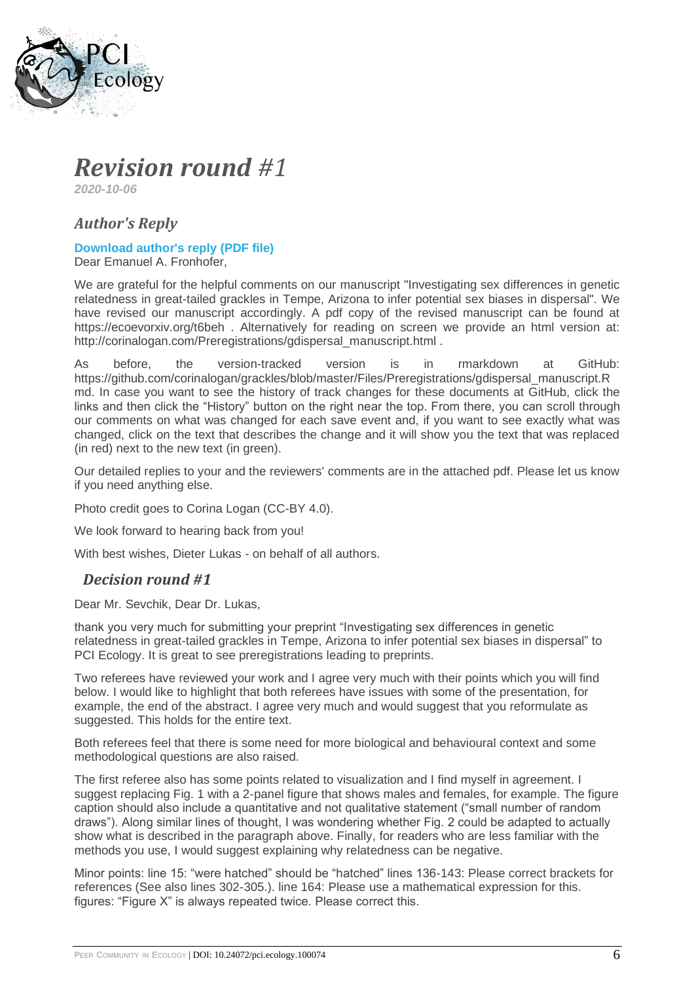

## *Revision round #1*

*2020-10-06*

## *Author's Reply*

### **[Download author's reply \(PDF file\)](https://ecology.peercommunityin.org/download/t_recommendations.reply_pdf.ad42aed968ad227e.526562757474616c315f5365766368696b5f44697370657273616c5f506f73744d616e757363726970742e706466.pdf)**

Dear Emanuel A. Fronhofer,

We are grateful for the helpful comments on our manuscript "Investigating sex differences in genetic relatedness in great-tailed grackles in Tempe, Arizona to infer potential sex biases in dispersal". We have revised our manuscript accordingly. A pdf copy of the revised manuscript can be found at https://ecoevorxiv.org/t6beh . Alternatively for reading on screen we provide an html version at: http://corinalogan.com/Preregistrations/gdispersal\_manuscript.html .

As before, the version-tracked version is in rmarkdown at GitHub: https://github.com/corinalogan/grackles/blob/master/Files/Preregistrations/gdispersal\_manuscript.R md. In case you want to see the history of track changes for these documents at GitHub, click the links and then click the "History" button on the right near the top. From there, you can scroll through our comments on what was changed for each save event and, if you want to see exactly what was changed, click on the text that describes the change and it will show you the text that was replaced (in red) next to the new text (in green).

Our detailed replies to your and the reviewers' comments are in the attached pdf. Please let us know if you need anything else.

Photo credit goes to Corina Logan (CC-BY 4.0).

We look forward to hearing back from you!

With best wishes, Dieter Lukas - on behalf of all authors.

## *Decision round #1*

Dear Mr. Sevchik, Dear Dr. Lukas,

thank you very much for submitting your preprint "Investigating sex differences in genetic relatedness in great-tailed grackles in Tempe, Arizona to infer potential sex biases in dispersal" to PCI Ecology. It is great to see preregistrations leading to preprints.

Two referees have reviewed your work and I agree very much with their points which you will find below. I would like to highlight that both referees have issues with some of the presentation, for example, the end of the abstract. I agree very much and would suggest that you reformulate as suggested. This holds for the entire text.

Both referees feel that there is some need for more biological and behavioural context and some methodological questions are also raised.

The first referee also has some points related to visualization and I find myself in agreement. I suggest replacing Fig. 1 with a 2-panel figure that shows males and females, for example. The figure caption should also include a quantitative and not qualitative statement ("small number of random draws"). Along similar lines of thought, I was wondering whether Fig. 2 could be adapted to actually show what is described in the paragraph above. Finally, for readers who are less familiar with the methods you use. I would suggest explaining why relatedness can be negative.

Minor points: line 15: "were hatched" should be "hatched" lines 136-143: Please correct brackets for references (See also lines 302-305.). line 164: Please use a mathematical expression for this. figures: "Figure X" is always repeated twice. Please correct this.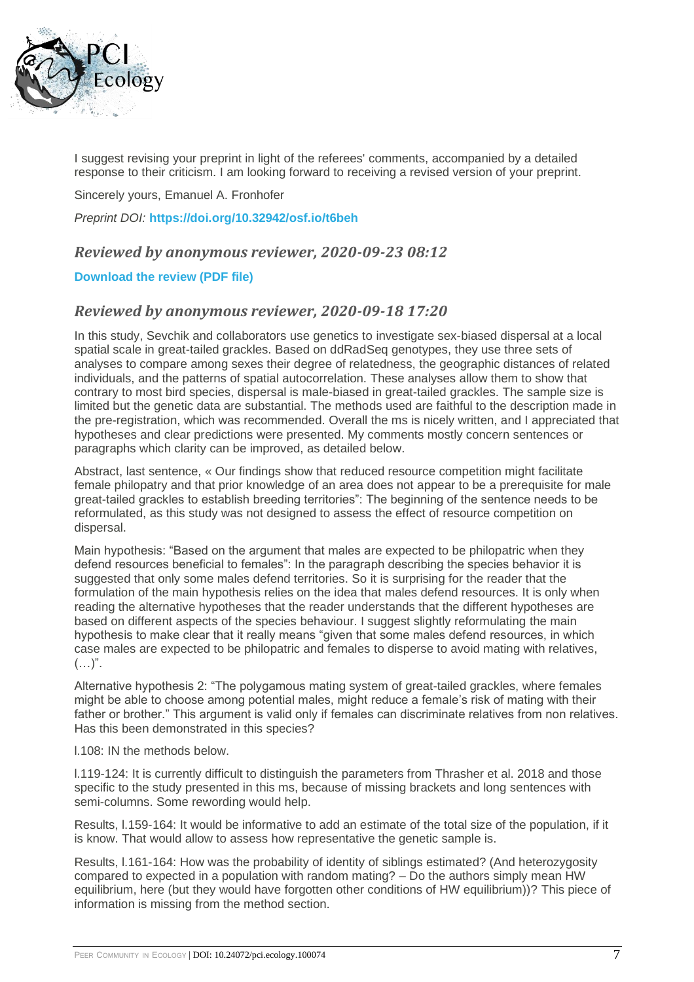

I suggest revising your preprint in light of the referees' comments, accompanied by a detailed response to their criticism. I am looking forward to receiving a revised version of your preprint.

Sincerely yours, Emanuel A. Fronhofer

*Preprint DOI:* **<https://doi.org/10.32942/osf.io/t6beh>**

### *Reviewed by anonymous reviewer, 2020-09-23 08:12*

#### **[Download the review \(PDF file\)](https://ecology.peercommunityin.org/download/t_reviews.review_pdf.865f69aab3a16d2b.5265766965775f5365766368696b5f6574616c2e706466.pdf)**

### *Reviewed by anonymous reviewer, 2020-09-18 17:20*

In this study, Sevchik and collaborators use genetics to investigate sex-biased dispersal at a local spatial scale in great-tailed grackles. Based on ddRadSeq genotypes, they use three sets of analyses to compare among sexes their degree of relatedness, the geographic distances of related individuals, and the patterns of spatial autocorrelation. These analyses allow them to show that contrary to most bird species, dispersal is male-biased in great-tailed grackles. The sample size is limited but the genetic data are substantial. The methods used are faithful to the description made in the pre-registration, which was recommended. Overall the ms is nicely written, and I appreciated that hypotheses and clear predictions were presented. My comments mostly concern sentences or paragraphs which clarity can be improved, as detailed below.

Abstract, last sentence, « Our findings show that reduced resource competition might facilitate female philopatry and that prior knowledge of an area does not appear to be a prerequisite for male great-tailed grackles to establish breeding territories": The beginning of the sentence needs to be reformulated, as this study was not designed to assess the effect of resource competition on dispersal.

Main hypothesis: "Based on the argument that males are expected to be philopatric when they defend resources beneficial to females": In the paragraph describing the species behavior it is suggested that only some males defend territories. So it is surprising for the reader that the formulation of the main hypothesis relies on the idea that males defend resources. It is only when reading the alternative hypotheses that the reader understands that the different hypotheses are based on different aspects of the species behaviour. I suggest slightly reformulating the main hypothesis to make clear that it really means "given that some males defend resources, in which case males are expected to be philopatric and females to disperse to avoid mating with relatives,  $(\ldots)^{n}$ .

Alternative hypothesis 2: "The polygamous mating system of great-tailed grackles, where females might be able to choose among potential males, might reduce a female's risk of mating with their father or brother." This argument is valid only if females can discriminate relatives from non relatives. Has this been demonstrated in this species?

l.108: IN the methods below.

l.119-124: It is currently difficult to distinguish the parameters from Thrasher et al. 2018 and those specific to the study presented in this ms, because of missing brackets and long sentences with semi-columns. Some rewording would help.

Results, l.159-164: It would be informative to add an estimate of the total size of the population, if it is know. That would allow to assess how representative the genetic sample is.

Results, l.161-164: How was the probability of identity of siblings estimated? (And heterozygosity compared to expected in a population with random mating? – Do the authors simply mean HW equilibrium, here (but they would have forgotten other conditions of HW equilibrium))? This piece of information is missing from the method section.